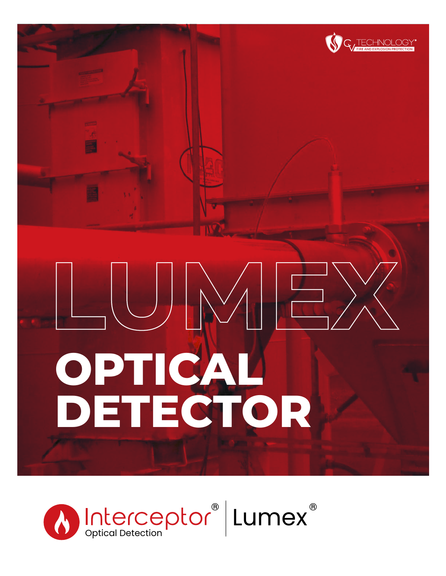

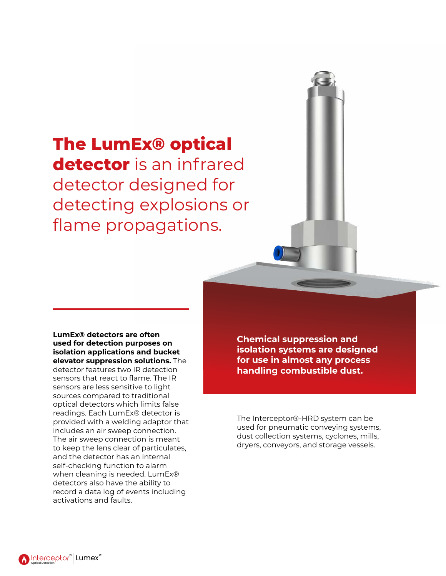## **The LumEx® optical detector** is an infrared detector designed for detecting explosions or flame propagations.

**LumEx® detectors are often used for detection purposes on isolation applications and bucket elevator suppression solutions.** The detector features two IR detection sensors that react to flame. The IR sensors are less sensitive to light sources compared to traditional optical detectors which limits false readings. Each LumEx® detector is provided with a welding adaptor that includes an air sweep connection. The air sweep connection is meant to keep the lens clear of particulates, and the detector has an internal self-checking function to alarm when cleaning is needed. LumEx® detectors also have the ability to record a data log of events including activations and faults.

**Chemical suppression and isolation systems are designed for use in almost any process handling combustible dust.**

The Interceptor®-HRD system can be used for pneumatic conveying systems, dust collection systems, cyclones, mills, dryers, conveyors, and storage vessels.

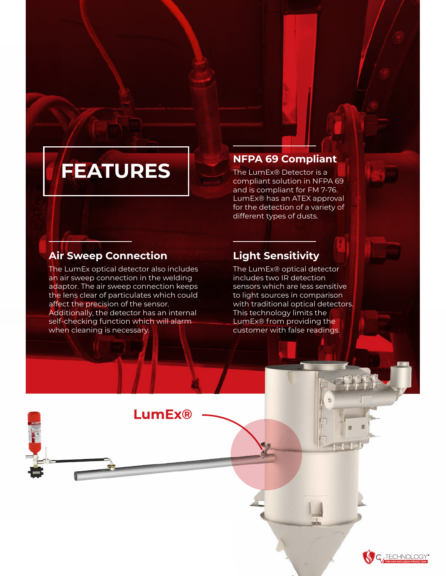# **FEATURES**

#### **NFPA 69 Compliant**

The LumEx® Detector is a compliant solution in NFPA 69 and is compliant for FM 7-76. LumEx® has an ATEX approval for the detection of a variety of different types of dusts.

#### **Air Sweep Connection**

The LumEx optical detector also includes an air sweep connection in the welding adaptor. The air sweep connection keeps the lens clear of particulates which could affect the precision of the sensor. Additionally, the detector has an internal self-checking function which will alarm when cleaning is necessary.

### **Light Sensitivity**

The LumEx® optical detector includes two IR detection sensors which are less sensitive to light sources in comparison with traditional optical detectors. This technology limits the LumEx® from providing the customer with false readings.

**LumEx®**

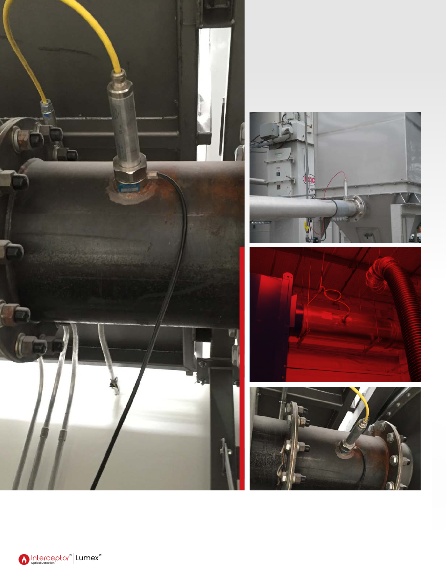





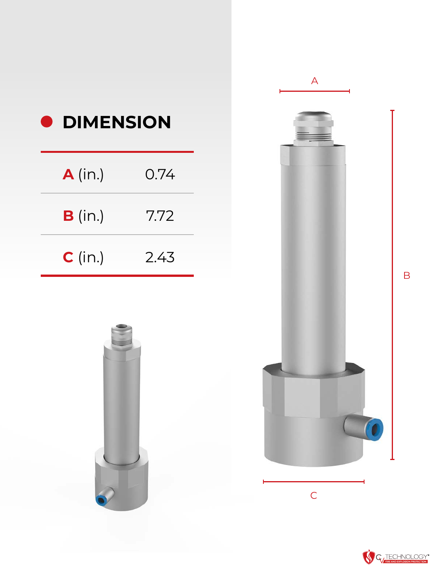|           | <b>DIMENSION</b> |
|-----------|------------------|
| $A$ (in.) | 0.74             |
| $B$ (in.) | 7.72             |
| $C$ (in.) | 2.43             |